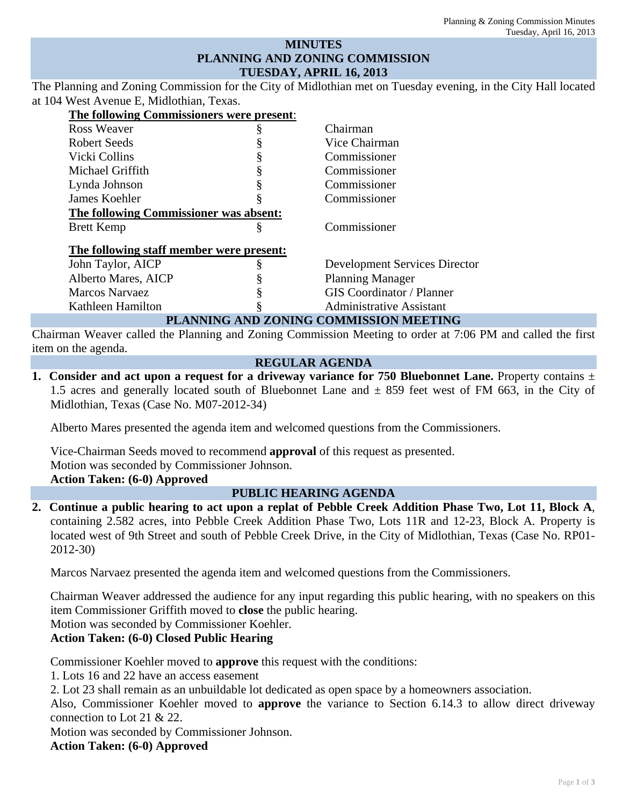## **MINUTES PLANNING AND ZONING COMMISSION TUESDAY, APRIL 16, 2013**

The Planning and Zoning Commission for the City of Midlothian met on Tuesday evening, in the City Hall located at 104 West Avenue E, Midlothian, Texas.

| The following Commissioners were present: |   |                                      |
|-------------------------------------------|---|--------------------------------------|
| Ross Weaver                               |   | Chairman                             |
| Robert Seeds                              |   | Vice Chairman                        |
| Vicki Collins                             | § | Commissioner                         |
| Michael Griffith                          | § | Commissioner                         |
| Lynda Johnson                             | § | Commissioner                         |
| James Koehler                             | ş | Commissioner                         |
| The following Commissioner was absent:    |   |                                      |
| <b>Brett Kemp</b>                         | § | Commissioner                         |
| The following staff member were present:  |   |                                      |
| John Taylor, AICP                         |   | <b>Development Services Director</b> |
| Alberto Mares, AICP                       |   | <b>Planning Manager</b>              |
| Marcos Narvaez                            |   | <b>GIS</b> Coordinator / Planner     |
| Kathleen Hamilton                         | Ś | <b>Administrative Assistant</b>      |
| PLANNING AND ZONING COMMISSION MEETING    |   |                                      |

Chairman Weaver called the Planning and Zoning Commission Meeting to order at 7:06 PM and called the first item on the agenda.

### **REGULAR AGENDA**

**1. Consider and act upon a request for a driveway variance for 750 Bluebonnet Lane.** Property contains  $\pm$ 1.5 acres and generally located south of Bluebonnet Lane and ± 859 feet west of FM 663, in the City of Midlothian, Texas (Case No. M07-2012-34)

Alberto Mares presented the agenda item and welcomed questions from the Commissioners.

Vice-Chairman Seeds moved to recommend **approval** of this request as presented. Motion was seconded by Commissioner Johnson. **Action Taken: (6-0) Approved** 

#### **PUBLIC HEARING AGENDA**

**2. Continue a public hearing to act upon a replat of Pebble Creek Addition Phase Two, Lot 11, Block A**, containing 2.582 acres, into Pebble Creek Addition Phase Two, Lots 11R and 12-23, Block A. Property is located west of 9th Street and south of Pebble Creek Drive, in the City of Midlothian, Texas (Case No. RP01- 2012-30)

Marcos Narvaez presented the agenda item and welcomed questions from the Commissioners.

Chairman Weaver addressed the audience for any input regarding this public hearing, with no speakers on this item Commissioner Griffith moved to **close** the public hearing.

Motion was seconded by Commissioner Koehler.

## **Action Taken: (6-0) Closed Public Hearing**

Commissioner Koehler moved to **approve** this request with the conditions:

1. Lots 16 and 22 have an access easement

2. Lot 23 shall remain as an unbuildable lot dedicated as open space by a homeowners association.

Also, Commissioner Koehler moved to **approve** the variance to Section 6.14.3 to allow direct driveway connection to Lot 21 & 22.

Motion was seconded by Commissioner Johnson.

**Action Taken: (6-0) Approved**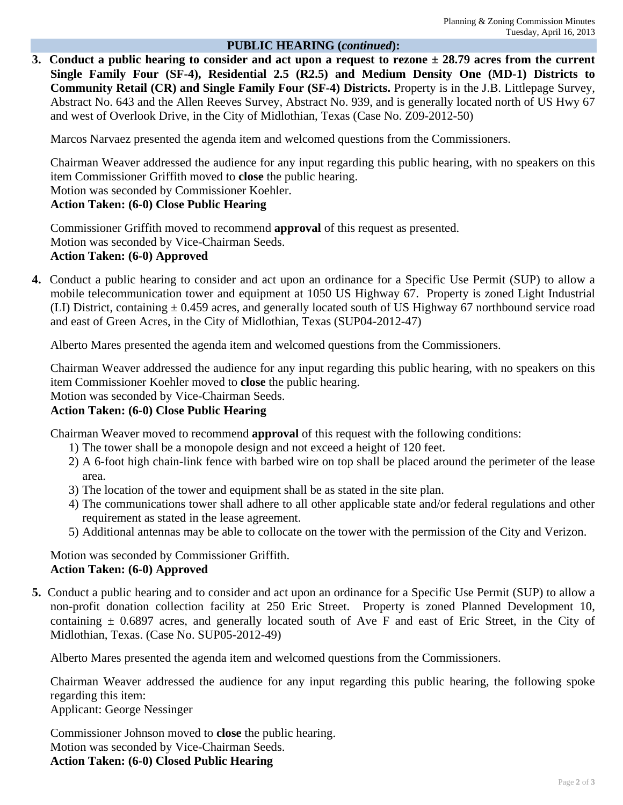## **PUBLIC HEARING (***continued***):**

**3. Conduct a public hearing to consider and act upon a request to rezone ± 28.79 acres from the current Single Family Four (SF-4), Residential 2.5 (R2.5) and Medium Density One (MD-1) Districts to Community Retail (CR) and Single Family Four (SF-4) Districts.** Property is in the J.B. Littlepage Survey, Abstract No. 643 and the Allen Reeves Survey, Abstract No. 939, and is generally located north of US Hwy 67 and west of Overlook Drive, in the City of Midlothian, Texas (Case No. Z09-2012-50)

Marcos Narvaez presented the agenda item and welcomed questions from the Commissioners.

Chairman Weaver addressed the audience for any input regarding this public hearing, with no speakers on this item Commissioner Griffith moved to **close** the public hearing.

Motion was seconded by Commissioner Koehler.

### **Action Taken: (6-0) Close Public Hearing**

Commissioner Griffith moved to recommend **approval** of this request as presented. Motion was seconded by Vice-Chairman Seeds. **Action Taken: (6-0) Approved** 

**4.** Conduct a public hearing to consider and act upon an ordinance for a Specific Use Permit (SUP) to allow a mobile telecommunication tower and equipment at 1050 US Highway 67. Property is zoned Light Industrial (LI) District, containing  $\pm$  0.459 acres, and generally located south of US Highway 67 northbound service road and east of Green Acres, in the City of Midlothian, Texas (SUP04-2012-47)

Alberto Mares presented the agenda item and welcomed questions from the Commissioners.

Chairman Weaver addressed the audience for any input regarding this public hearing, with no speakers on this item Commissioner Koehler moved to **close** the public hearing.

Motion was seconded by Vice-Chairman Seeds.

### **Action Taken: (6-0) Close Public Hearing**

Chairman Weaver moved to recommend **approval** of this request with the following conditions:

- 1) The tower shall be a monopole design and not exceed a height of 120 feet.
- 2) A 6-foot high chain-link fence with barbed wire on top shall be placed around the perimeter of the lease area.
- 3) The location of the tower and equipment shall be as stated in the site plan.
- 4) The communications tower shall adhere to all other applicable state and/or federal regulations and other requirement as stated in the lease agreement.
- 5) Additional antennas may be able to collocate on the tower with the permission of the City and Verizon.

Motion was seconded by Commissioner Griffith. **Action Taken: (6-0) Approved** 

**5.** Conduct a public hearing and to consider and act upon an ordinance for a Specific Use Permit (SUP) to allow a non-profit donation collection facility at 250 Eric Street. Property is zoned Planned Development 10, containing  $\pm$  0.6897 acres, and generally located south of Ave F and east of Eric Street, in the City of Midlothian, Texas. (Case No. SUP05-2012-49)

Alberto Mares presented the agenda item and welcomed questions from the Commissioners.

Chairman Weaver addressed the audience for any input regarding this public hearing, the following spoke regarding this item:

Applicant: George Nessinger

Commissioner Johnson moved to **close** the public hearing. Motion was seconded by Vice-Chairman Seeds.

**Action Taken: (6-0) Closed Public Hearing**